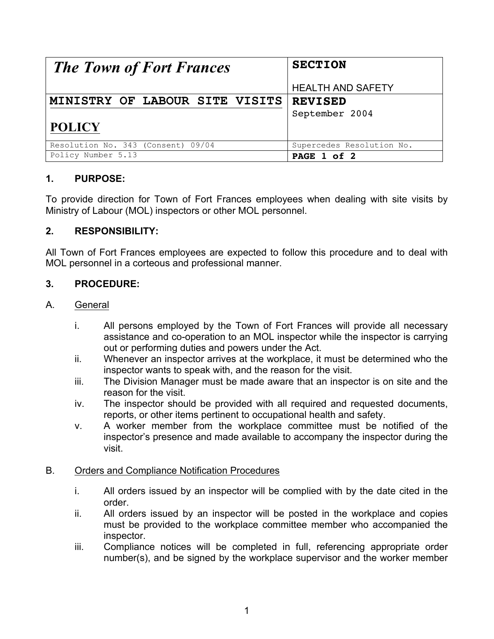| <b>The Town of Fort Frances</b>    | <b>SECTION</b>            |
|------------------------------------|---------------------------|
|                                    | <b>HEALTH AND SAFETY</b>  |
| MINISTRY OF LABOUR SITE VISITS     | <b>REVISED</b>            |
|                                    | September 2004            |
| <b>POLICY</b>                      |                           |
| Resolution No. 343 (Consent) 09/04 | Supercedes Resolution No. |
| Policy Number 5.13                 | PAGE 1 of 2               |

# **1. PURPOSE:**

To provide direction for Town of Fort Frances employees when dealing with site visits by Ministry of Labour (MOL) inspectors or other MOL personnel.

## **2. RESPONSIBILITY:**

All Town of Fort Frances employees are expected to follow this procedure and to deal with MOL personnel in a corteous and professional manner.

## **3. PROCEDURE:**

#### A. General

- i. All persons employed by the Town of Fort Frances will provide all necessary assistance and co-operation to an MOL inspector while the inspector is carrying out or performing duties and powers under the Act.
- ii. Whenever an inspector arrives at the workplace, it must be determined who the inspector wants to speak with, and the reason for the visit.
- iii. The Division Manager must be made aware that an inspector is on site and the reason for the visit.
- iv. The inspector should be provided with all required and requested documents, reports, or other items pertinent to occupational health and safety.
- v. A worker member from the workplace committee must be notified of the inspector's presence and made available to accompany the inspector during the visit.

#### B. Orders and Compliance Notification Procedures

- i. All orders issued by an inspector will be complied with by the date cited in the order.
- ii. All orders issued by an inspector will be posted in the workplace and copies must be provided to the workplace committee member who accompanied the inspector.
- iii. Compliance notices will be completed in full, referencing appropriate order number(s), and be signed by the workplace supervisor and the worker member